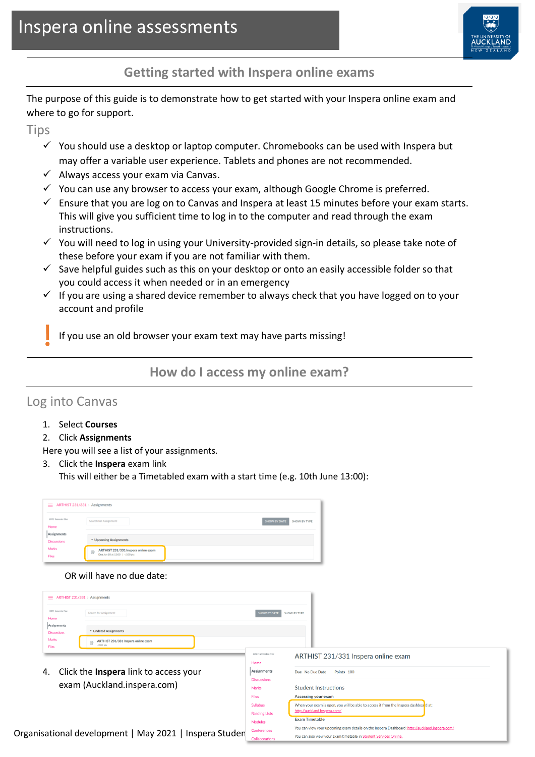

**Getting started with Inspera online exams**

The purpose of this guide is to demonstrate how to get started with your Inspera online exam and where to go for support.

**Tips** 

- $\checkmark$  You should use a desktop or laptop computer. Chromebooks can be used with Inspera but may offer a variable user experience. Tablets and phones are not recommended.
- $\checkmark$  Always access your exam via Canvas.
- $\checkmark$  You can use any browser to access your exam, although Google Chrome is preferred.
- $\checkmark$  Ensure that you are log on to Canvas and Inspera at least 15 minutes before your exam starts. This will give you sufficient time to log in to the computer and read through the exam instructions.
- ✓ You will need to log in using your University-provided sign-in details, so please take note of these before your exam if you are not familiar with them.
- $\checkmark$  Save helpful guides such as this on your desktop or onto an easily accessible folder so that you could access it when needed or in an emergency
- $\checkmark$  If you are using a shared device remember to always check that you have logged on to your account and profile

If you use an old browser your exam text may have parts missing!

**How do I access my online exam?**

## Log into Canvas

- 1. Select **Courses**
- 2. Click **Assignments**

Here you will see a list of your assignments.

3. Click the **Inspera** exam link

This will either be a Timetabled exam with a start time (e.g. 10th June 13:00):

| $\equiv$ ARTHIST 231/331 > Assignments |                                                                             |  |  |  |
|----------------------------------------|-----------------------------------------------------------------------------|--|--|--|
| 2021 Semester One<br>Home              | Search for Assignment<br>SHOW BY DATE SHOW BY TYPE                          |  |  |  |
| Assignments<br><b>Discussions</b>      | * Upcoming Assignments                                                      |  |  |  |
| <b>Marks</b><br><b>Files</b>           | ARTHIST 231/331 Inspera online exam<br>殴<br>Due Jun 10 at 13:00   -/100 pts |  |  |  |

OR will have no due date:

| Assignments<br>* Undated Assignments<br><b>Discussions</b><br>Marks<br>ARTHIST 231/331 Inspera online exam<br>$-1100$ pts<br><b>Files</b><br>2021 Semester One<br>ARTHIST 231/331 Inspera online exam<br>Home<br>Click the <b>Inspera</b> link to access your<br>Assignments<br>Due No Due Date<br>Points 100<br><b>Discussions</b><br>exam (Auckland.inspera.com)<br><b>Student Instructions</b><br>Marks<br>Accessing your exam<br><b>Files</b> | 2021 Semester One<br>Home | Search for Assignment | SHOW BY DATE | SHOW BY TYPE |
|---------------------------------------------------------------------------------------------------------------------------------------------------------------------------------------------------------------------------------------------------------------------------------------------------------------------------------------------------------------------------------------------------------------------------------------------------|---------------------------|-----------------------|--------------|--------------|
|                                                                                                                                                                                                                                                                                                                                                                                                                                                   |                           |                       |              |              |
| 4.                                                                                                                                                                                                                                                                                                                                                                                                                                                |                           |                       |              |              |
|                                                                                                                                                                                                                                                                                                                                                                                                                                                   |                           |                       |              |              |
|                                                                                                                                                                                                                                                                                                                                                                                                                                                   |                           |                       |              |              |
| When your exam is open, you will be able to access it from the Inspera dashboard at:<br><b>Syllabus</b><br>http://auckland.inspera.com/<br><b>Reading Lists</b>                                                                                                                                                                                                                                                                                   |                           |                       |              |              |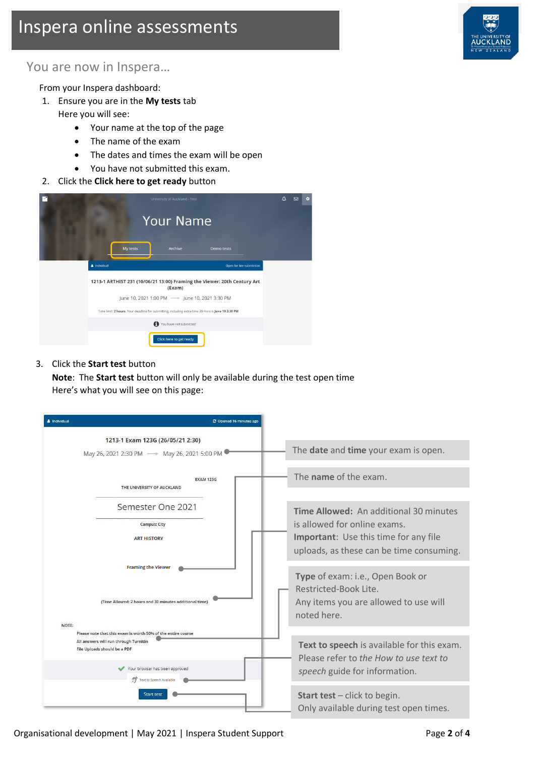# Inspera online assessments



### You are now in Inspera…

From your Inspera dashboard:

- 1. Ensure you are in the **My tests** tab Here you will see:
	- Your name at the top of the page
	- The name of the exam
	- The dates and times the exam will be open
	- You have not submitted this exam.
- 2. Click the **Click here to get ready** button

| × |                                                                                                    | University of Auckland - Test                  |                          | Δ | 罓 | ٠ |
|---|----------------------------------------------------------------------------------------------------|------------------------------------------------|--------------------------|---|---|---|
|   |                                                                                                    | <b>Your Name</b>                               |                          |   |   |   |
|   | My tests                                                                                           | Archive                                        | <b>Demo tests</b>        |   |   |   |
|   | & Individual                                                                                       |                                                | Open for late submission |   |   |   |
|   | 1213-1 ARTHIST 231 (10/06/21 13:00) Framing the Viewer: 20th Century Art                           | (Exam)                                         |                          |   |   |   |
|   |                                                                                                    | June 10, 2021 1:00 PM -> June 10, 2021 3:30 PM |                          |   |   |   |
|   | Time limit: 2 hours. Your deadline for submitting, including extra time 30 mins is June 10 3:30 PM |                                                |                          |   |   |   |
|   |                                                                                                    | You have not submitted                         |                          |   |   |   |
|   |                                                                                                    | Click here to get ready                        |                          |   |   |   |

#### 3. Click the **Start test** button

**Note**: The **Start test** button will only be available during the test open time Here's what you will see on this page:

| & Individual |                                                                                                                                                                         | C Opened 16 minutes ago |  |
|--------------|-------------------------------------------------------------------------------------------------------------------------------------------------------------------------|-------------------------|--|
|              | 1213-1 Exam 123G (26/05/21 2:30)<br>May 26, 2021 2:30 PM - May 26, 2021 5:00 PM                                                                                         |                         |  |
|              | <b>EXAM 123G</b><br>THE UNIVERSITY OF AUCKLAND                                                                                                                          |                         |  |
|              | Semester One 2021<br><b>Campus: City</b><br><b>ART HISTORY</b>                                                                                                          |                         |  |
|              | <b>Framing the Viewer</b>                                                                                                                                               |                         |  |
| NOTE:        | (Time Allowed: 2 hours and 30 minutes additional time                                                                                                                   |                         |  |
|              | Please note that this exam is worth 50% of the entire course<br>All answers will run through Turnitin<br>File Uploads should be a PDF<br>Your browser has been approved |                         |  |
|              | Text to Speech Available<br><b>Start test</b>                                                                                                                           |                         |  |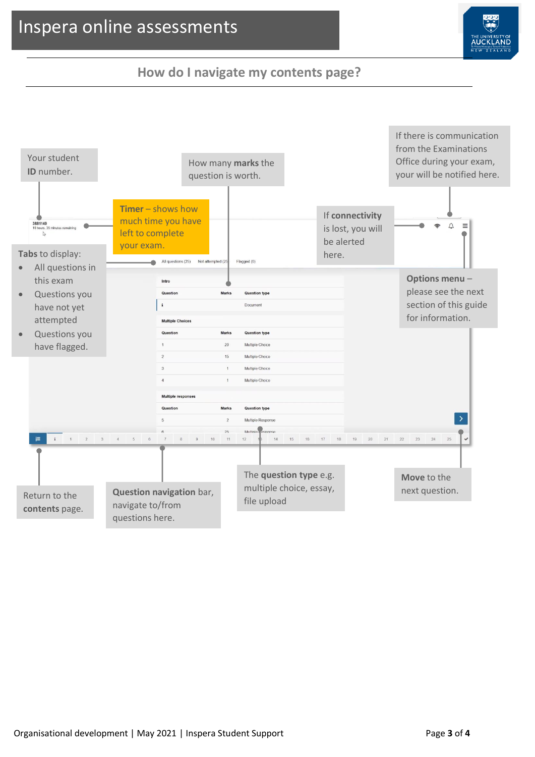## Inspera online assessments



## **How do I navigate my contents page?**